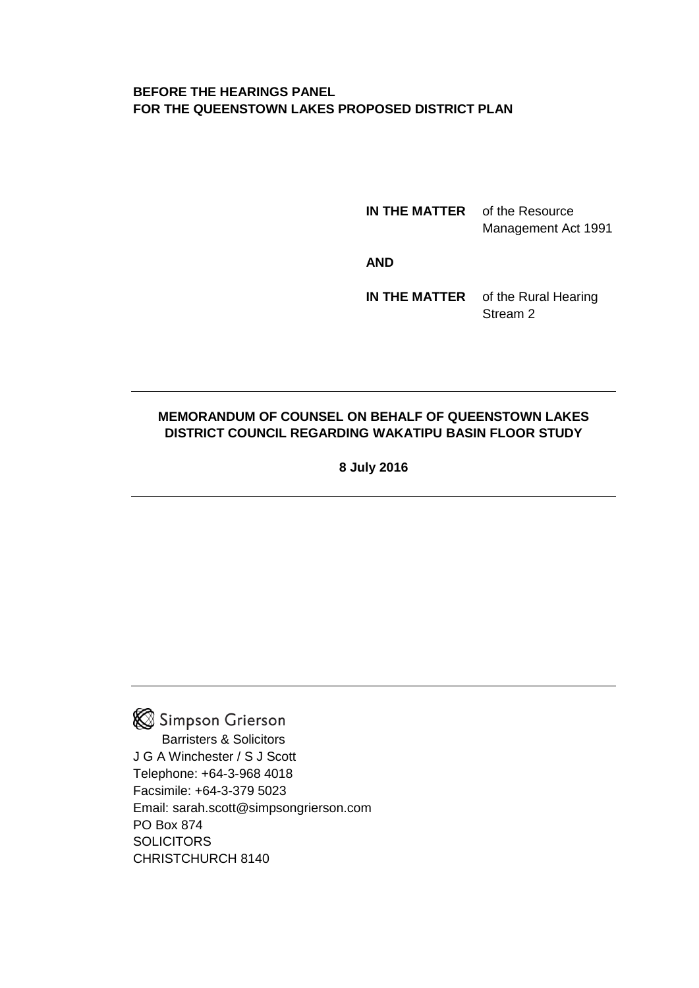## **BEFORE THE HEARINGS PANEL FOR THE QUEENSTOWN LAKES PROPOSED DISTRICT PLAN**

**IN THE MATTER** of the Resource Management Act 1991

**AND**

**IN THE MATTER** of the Rural Hearing Stream 2

## **MEMORANDUM OF COUNSEL ON BEHALF OF QUEENSTOWN LAKES DISTRICT COUNCIL REGARDING WAKATIPU BASIN FLOOR STUDY**

**8 July 2016**

Simpson Grierson Barristers & Solicitors J G A Winchester / S J Scott Telephone: +64-3-968 4018 Facsimile: +64-3-379 5023 Email: sarah.scott@simpsongrierson.com PO Box 874 **SOLICITORS** CHRISTCHURCH 8140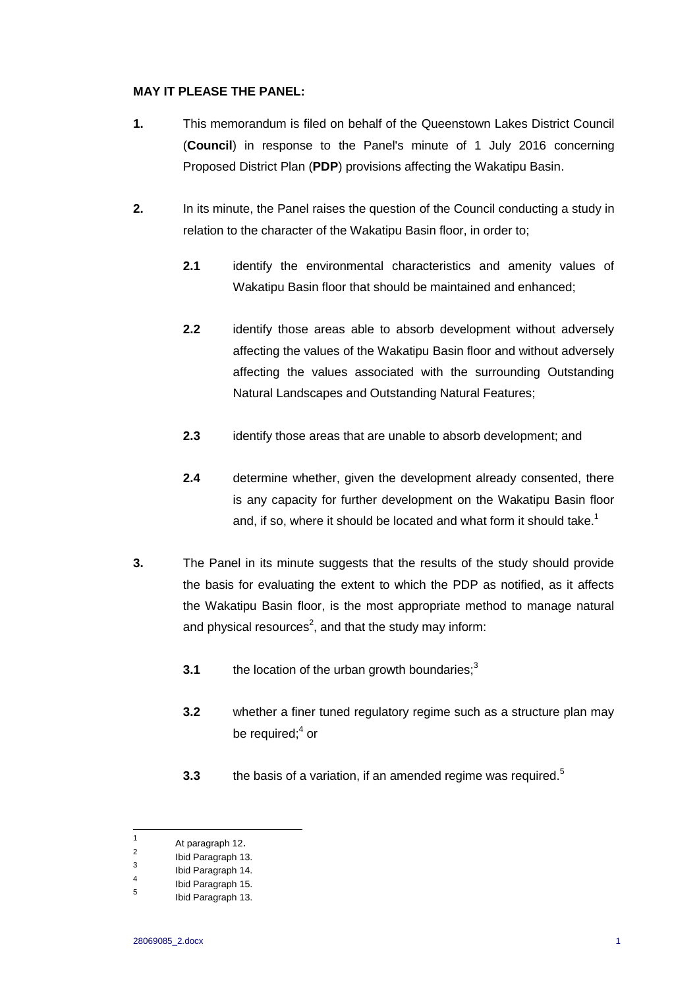## **MAY IT PLEASE THE PANEL:**

- **1.** This memorandum is filed on behalf of the Queenstown Lakes District Council (**Council**) in response to the Panel's minute of 1 July 2016 concerning Proposed District Plan (**PDP**) provisions affecting the Wakatipu Basin.
- **2.** In its minute, the Panel raises the question of the Council conducting a study in relation to the character of the Wakatipu Basin floor, in order to;
	- **2.1** identify the environmental characteristics and amenity values of Wakatipu Basin floor that should be maintained and enhanced;
	- **2.2** identify those areas able to absorb development without adversely affecting the values of the Wakatipu Basin floor and without adversely affecting the values associated with the surrounding Outstanding Natural Landscapes and Outstanding Natural Features;
	- **2.3** identify those areas that are unable to absorb development; and
	- **2.4** determine whether, given the development already consented, there is any capacity for further development on the Wakatipu Basin floor and, if so, where it should be located and what form it should take.<sup>1</sup>
- **3.** The Panel in its minute suggests that the results of the study should provide the basis for evaluating the extent to which the PDP as notified, as it affects the Wakatipu Basin floor, is the most appropriate method to manage natural and physical resources<sup>2</sup>, and that the study may inform:
	- **3.1** the location of the urban growth boundaries;<sup>3</sup>
	- **3.2** whether a finer tuned regulatory regime such as a structure plan may be required;<sup>4</sup> or
	- **3.3** the basis of a variation, if an amended regime was required.<sup>5</sup>

 $\frac{1}{1}$ At paragraph 12.  $\overline{2}$ 

Ibid Paragraph 13.

<sup>3</sup> Ibid Paragraph 14.

<sup>4</sup> Ibid Paragraph 15.

<sup>5</sup> Ibid Paragraph 13.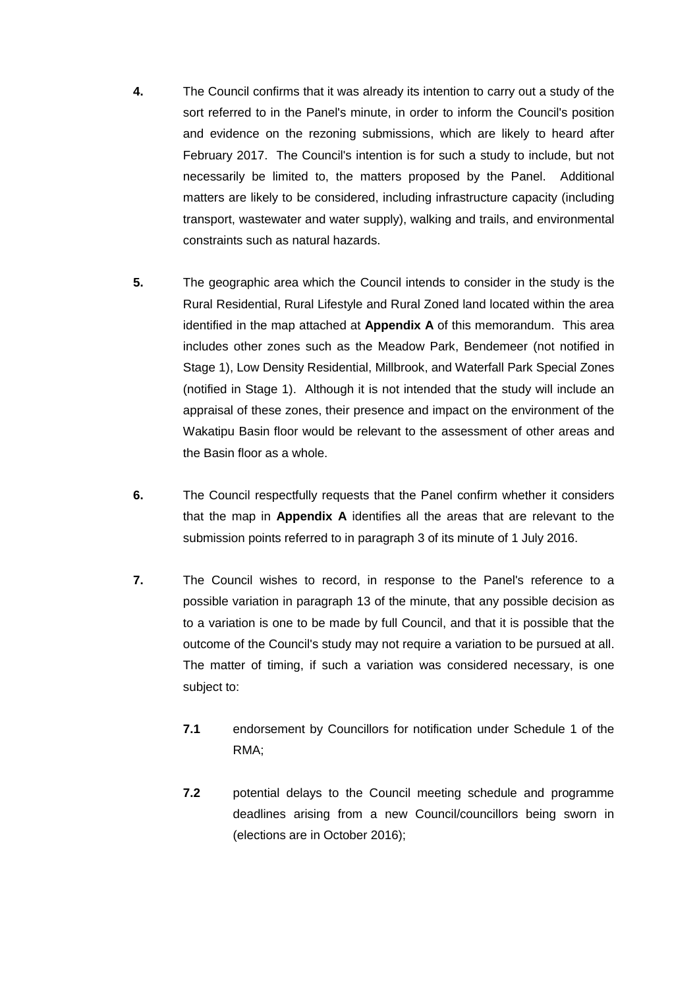- **4.** The Council confirms that it was already its intention to carry out a study of the sort referred to in the Panel's minute, in order to inform the Council's position and evidence on the rezoning submissions, which are likely to heard after February 2017. The Council's intention is for such a study to include, but not necessarily be limited to, the matters proposed by the Panel. Additional matters are likely to be considered, including infrastructure capacity (including transport, wastewater and water supply), walking and trails, and environmental constraints such as natural hazards.
- **5.** The geographic area which the Council intends to consider in the study is the Rural Residential, Rural Lifestyle and Rural Zoned land located within the area identified in the map attached at **Appendix A** of this memorandum. This area includes other zones such as the Meadow Park, Bendemeer (not notified in Stage 1), Low Density Residential, Millbrook, and Waterfall Park Special Zones (notified in Stage 1). Although it is not intended that the study will include an appraisal of these zones, their presence and impact on the environment of the Wakatipu Basin floor would be relevant to the assessment of other areas and the Basin floor as a whole.
- **6.** The Council respectfully requests that the Panel confirm whether it considers that the map in **Appendix A** identifies all the areas that are relevant to the submission points referred to in paragraph 3 of its minute of 1 July 2016.
- **7.** The Council wishes to record, in response to the Panel's reference to a possible variation in paragraph 13 of the minute, that any possible decision as to a variation is one to be made by full Council, and that it is possible that the outcome of the Council's study may not require a variation to be pursued at all. The matter of timing, if such a variation was considered necessary, is one subject to:
	- **7.1** endorsement by Councillors for notification under Schedule 1 of the RMA;
	- **7.2** potential delays to the Council meeting schedule and programme deadlines arising from a new Council/councillors being sworn in (elections are in October 2016);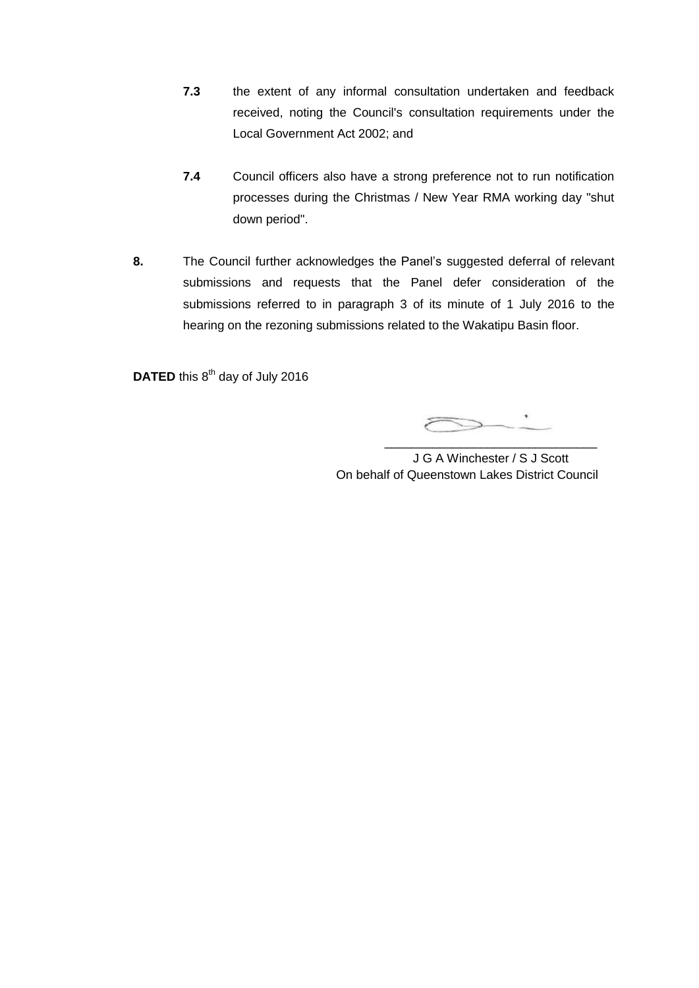- **7.3** the extent of any informal consultation undertaken and feedback received, noting the Council's consultation requirements under the Local Government Act 2002; and
- **7.4** Council officers also have a strong preference not to run notification processes during the Christmas / New Year RMA working day "shut down period".
- **8.** The Council further acknowledges the Panel's suggested deferral of relevant submissions and requests that the Panel defer consideration of the submissions referred to in paragraph 3 of its minute of 1 July 2016 to the hearing on the rezoning submissions related to the Wakatipu Basin floor.

DATED this 8<sup>th</sup> day of July 2016

\_\_\_\_\_\_\_\_\_\_\_\_\_\_\_\_\_\_\_\_\_\_\_\_\_\_\_\_\_\_\_

J G A Winchester / S J Scott On behalf of Queenstown Lakes District Council